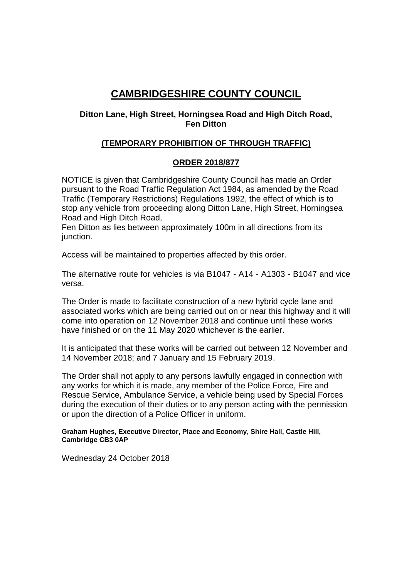# **CAMBRIDGESHIRE COUNTY COUNCIL**

### **Ditton Lane, High Street, Horningsea Road and High Ditch Road, Fen Ditton**

# **(TEMPORARY PROHIBITION OF THROUGH TRAFFIC)**

## **ORDER 2018/877**

NOTICE is given that Cambridgeshire County Council has made an Order pursuant to the Road Traffic Regulation Act 1984, as amended by the Road Traffic (Temporary Restrictions) Regulations 1992, the effect of which is to stop any vehicle from proceeding along Ditton Lane, High Street, Horningsea Road and High Ditch Road,

Fen Ditton as lies between approximately 100m in all directions from its junction.

Access will be maintained to properties affected by this order.

The alternative route for vehicles is via B1047 - A14 - A1303 - B1047 and vice versa.

The Order is made to facilitate construction of a new hybrid cycle lane and associated works which are being carried out on or near this highway and it will come into operation on 12 November 2018 and continue until these works have finished or on the 11 May 2020 whichever is the earlier.

It is anticipated that these works will be carried out between 12 November and 14 November 2018; and 7 January and 15 February 2019.

The Order shall not apply to any persons lawfully engaged in connection with any works for which it is made, any member of the Police Force, Fire and Rescue Service, Ambulance Service, a vehicle being used by Special Forces during the execution of their duties or to any person acting with the permission or upon the direction of a Police Officer in uniform.

**Graham Hughes, Executive Director, Place and Economy, Shire Hall, Castle Hill, Cambridge CB3 0AP**

Wednesday 24 October 2018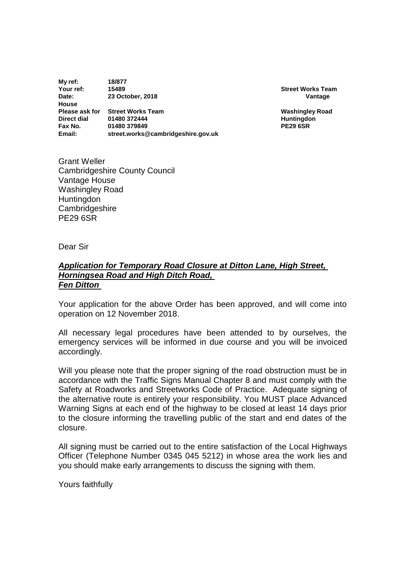**My ref: 18/877 Your ref: 15489 Street Works Team Date: 23 October, 2018 Vantage House Please ask for Street Works Team Washingley Road Direct dial 01480 372444 Huntingdon**<br> **PE29 6SR** 101480 379849 **Huntingdon Fax No.** 01480 379849<br> **Email:** street.works@ **Email: street.works@cambridgeshire.gov.uk**

Grant Weller Cambridgeshire County Council Vantage House Washingley Road **Huntingdon Cambridgeshire** PE29 6SR

Dear Sir

#### *Application for Temporary Road Closure at Ditton Lane, High Street, Horningsea Road and High Ditch Road, Fen Ditton*

Your application for the above Order has been approved, and will come into operation on 12 November 2018.

All necessary legal procedures have been attended to by ourselves, the emergency services will be informed in due course and you will be invoiced accordingly.

Will you please note that the proper signing of the road obstruction must be in accordance with the Traffic Signs Manual Chapter 8 and must comply with the Safety at Roadworks and Streetworks Code of Practice. Adequate signing of the alternative route is entirely your responsibility. You MUST place Advanced Warning Signs at each end of the highway to be closed at least 14 days prior to the closure informing the travelling public of the start and end dates of the closure.

All signing must be carried out to the entire satisfaction of the Local Highways Officer (Telephone Number 0345 045 5212) in whose area the work lies and you should make early arrangements to discuss the signing with them.

Yours faithfully